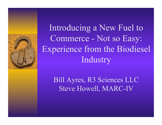

Introducing a New Fuel to Commerce - Not so Easy: Experience from the Biodiesel Industry

> Bill Ayres, R3 Sciences LLC Steve Howell, MARC-IV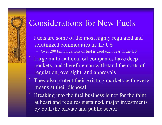### Considerations for New Fuels

Fuels are some of the most highly regulated and scrutinized commodities in the US

– Over 200 billion gallons of fuel is used each year in the US

- Large multi-national oil companies have deep pockets, and therefore can withstand the costs of regulation, oversight, and approvals
- They also protect their existing markets with every means at their disposal
- Breaking into the fuel business is not for the faint at heart and requires sustained, major investments by both the private and public sector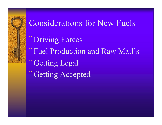# Considerations for New Fuels

- ¨Driving Forces
- Fuel Production and Raw Matl's
- Getting Legal
- Getting Accepted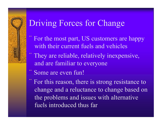### Driving Forces for Change

- For the most part, US customers are happy with their current fuels and vehicles
- They are reliable, relatively inexpensive, and are familiar to everyone
- Some are even fun!
- For this reason, there is strong resistance to change and a reluctance to change based on the problems and issues with alternative fuels introduced thus far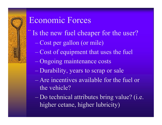# Economic Forces

- Is the new fuel cheaper for the user?
	- Cost per gallon (or mile)
	- Cost of equipment that uses the fuel
	- Ongoing maintenance costs
	- Durability, years to scrap or sale
	- Are incentives available for the fuel or the vehicle?
	- Do technical attributes bring value? (i.e. higher cetane, higher lubricity)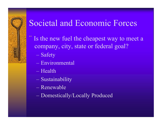# Societal and Economic Forces

- Is the new fuel the cheapest way to meet a company, city, state or federal goal?
	- Safety
	- Environmental
	- Health
	- Sustainability
	- Renewable
	- Domestically/Locally Produced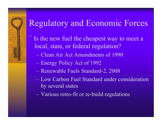### Regulatory and Economic Forces

- Is the new fuel the cheapest way to meet a local, state, or federal regulation?
	- Clean Air Act Amendments of 1990
	- Energy Policy Act of 1992
	- Renewable Fuels Standard-2, 2008
	- Low Carbon Fuel Standard under consideration by several states
	- Various retro-fit or re-build regulations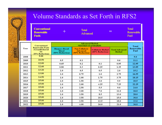#### Volume Standards as Set Forth in RFS2

|      | <b>Conventional</b><br><b>Renewable</b><br><b>Fuels</b>                                      |                                                          | <b>Total</b><br><b>Advanced</b>                             |                                              |                                         | <b>Total</b><br><b>Renewable</b><br>Fuel |
|------|----------------------------------------------------------------------------------------------|----------------------------------------------------------|-------------------------------------------------------------|----------------------------------------------|-----------------------------------------|------------------------------------------|
| Year | Conventional<br><b>Renewable Fuels</b><br>(Grandfathered<br>O <sub>r</sub><br>20% Reduction) | <b>Advanced Biofuel</b><br><b>NESTED STANDARDS</b>       |                                                             |                                              |                                         | Total                                    |
|      |                                                                                              | <b>Biomass-Based</b><br><b>Diesel</b><br>(50% Reduction) | <b>Non Cellulosic</b><br><b>Advanced</b><br>(50% Reduction) | <b>Cellulosic Biofuel</b><br>(60% Reduction) | <b>Total Advanced</b><br><b>Biofuel</b> | Renewable<br>Fuel                        |
| 2008 | 9.00                                                                                         |                                                          |                                                             |                                              |                                         | 9.0                                      |
| 2009 | 10.50                                                                                        | 0.5                                                      | 0.1                                                         |                                              | 0.6                                     | 11.1                                     |
| 2010 | 12.00                                                                                        | 0.65                                                     | 0.2                                                         | 0.1                                          | 0.95                                    | 12.95                                    |
| 2011 | 12.60                                                                                        | 0.80                                                     | 0.3                                                         | 0.25                                         | 1.35                                    | 13.95                                    |
| 2012 | 13.20                                                                                        | 1.0                                                      | 0.5                                                         | 0.5                                          | 2.0                                     | 15.2                                     |
| 2013 | 13.80                                                                                        | 1.0                                                      | 0.75                                                        | 1.0                                          | 2.75                                    | 16.55                                    |
| 2014 | 14.50                                                                                        | 1.0                                                      | 1.00                                                        | 1.75                                         | 3.75                                    | 18.15                                    |
| 2015 | 15.00                                                                                        | 1.0                                                      | 1.50                                                        | 3.0                                          | 5.5                                     | 20.5                                     |
| 2016 | 15.00                                                                                        | 1.0                                                      | 2.00                                                        | 4.25                                         | 7.25                                    | 22.25                                    |
| 2017 | 15.00                                                                                        | 1.0                                                      | 2.50                                                        | 5.5                                          | 9.0                                     | 24.0                                     |
| 2018 | 15.00                                                                                        | 1.0                                                      | 3.00                                                        | 7.0                                          | 11.0                                    | 26.0                                     |
| 2019 | 15.00                                                                                        | 1.0                                                      | 3.50                                                        | 8.5                                          | 13.0                                    | 28.0                                     |
| 2020 | 15.00                                                                                        | 1.0                                                      | 3.50                                                        | 10.5                                         | 15.0                                    | 30.0                                     |
| 2021 | 15.00                                                                                        | 1.0                                                      | 3.50                                                        | 13.5                                         | 18.0                                    | 33.0                                     |
| 2022 | 15.00                                                                                        | 1.0                                                      | 4.00                                                        | 16.0                                         | 21.0                                    | 36.0                                     |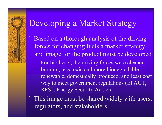### Developing a Market Strategy

- Based on a thorough analysis of the driving forces for changing fuels a market strategy and image for the product must be developed
	- For biodiesel, the driving forces were cleaner burning, less toxic and more biodegradable, renewable, domestically produced, and least cost way to meet government regulations (EPACT, RFS2, Energy Security Act, etc.)
- ¨ This image must be shared widely with users, regulators, and stakeholders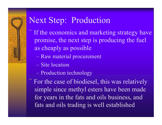### Next Step: Production

- If the economics and marketing strategy have promise, the next step is producing the fuel as cheaply as possible
	- Raw material procurement
	- Site location
	- Production technology
- For the case of biodiesel, this was relatively simple since methyl esters have been made for years in the fats and oils business, and fats and oils trading is well established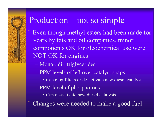### Production—not so simple

Even though methyl esters had been made for years by fats and oil companies, minor components OK for oleochemical use were NOT OK for engines:

- Mono-, di-, triglycerides
- PPM levels of left over catalyst soaps
	- Can clog filters or de-activate new diesel catalysts
- PPM level of phosphorous
	- Can de-activate new diesel catalysts

Changes were needed to make a good fuel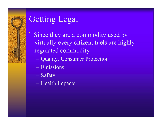# Getting Legal

- Since they are a commodity used by virtually every citizen, fuels are highly regulated commodity
	- Quality, Consumer Protection
	- Emissions
	- Safety
	- Health Impacts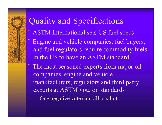#### Quality and Specifications ASTM International sets US fuel specs Engine and vehicle companies, fuel buyers, and fuel regulators require commodity fuels in the US to have an ASTM standard The most seasoned experts from major oil companies, engine and vehicle manufacturers, regulators and third party experts at ASTM vote on standards – One negative vote can kill a ballot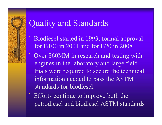### Quality and Standards

- Biodiesel started in 1993, formal approval for B100 in 2001 and for B20 in 2008
- Over \$60MM in research and testing with engines in the laboratory and large field trials were required to secure the technical information needed to pass the ASTM standards for biodiesel.
- Efforts continue to improve both the petrodiesel and biodiesel ASTM standards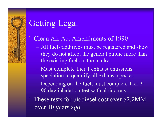# Getting Legal

- Clean Air Act Amendments of 1990
	- All fuels/additives must be registered and show they do not affect the general public more than the existing fuels in the market.
	- Must complete Tier 1 exhaust emissions speciation to quantify all exhaust species
	- Depending on the fuel, must complete Tier 2: 90 day inhalation test with albino rats
- These tests for biodiesel cost over \$2.2MM over 10 years ago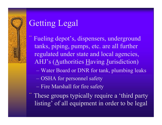# Getting Legal

- Fueling depot's, dispensers, underground tanks, piping, pumps, etc. are all further regulated under state and local agencies, AHJ's (Authorities Having Jurisdiction)
	- Water Board or DNR for tank, plumbing leaks
	- OSHA for personnel safety
	- Fire Marshall for fire safety
- ¨ These groups typically require a 'third party listing' of all equipment in order to be legal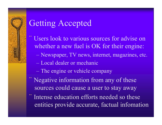- Users look to various sources for advise on whether a new fuel is OK for their engine:
	- Newspaper, TV news, internet, magazines, etc.
	- Local dealer or mechanic
	- The engine or vehicle company
- Negative information from any of these sources could cause a user to stay away
- Intense education efforts needed so these entities provide accurate, factual infomation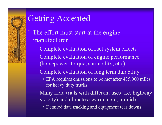- The effort must start at the engine manufacturer
	- Complete evaluation of fuel system effects
	- Complete evaluation of engine performance (horsepower, torque, startability, etc.)
	- Complete evaluation of long term durability
		- EPA requires emissions to be met after 435,000 miles for heavy duty trucks
	- Many field trials with different uses (i.e. highway vs. city) and climates (warm, cold, humid)
		- Detailed data tracking and equipment tear downs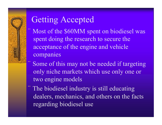Most of the \$60MM spent on biodiesel was spent doing the research to secure the acceptance of the engine and vehicle companies

Some of this may not be needed if targeting only niche markets which use only one or two engine models

The biodiesel industry is still educating dealers, mechanics, and others on the facts regarding biodiesel use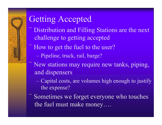- Distribution and Filling Stations are the next challenge to getting accepted
- How to get the fuel to the user?
	- Pipeline, truck, rail, barge?
- New stations may require new tanks, piping, and dispensers
	- Capital costs, are volumes high enough to justify the expense?
- Sometimes we forget everyone who touches the fuel must make money….